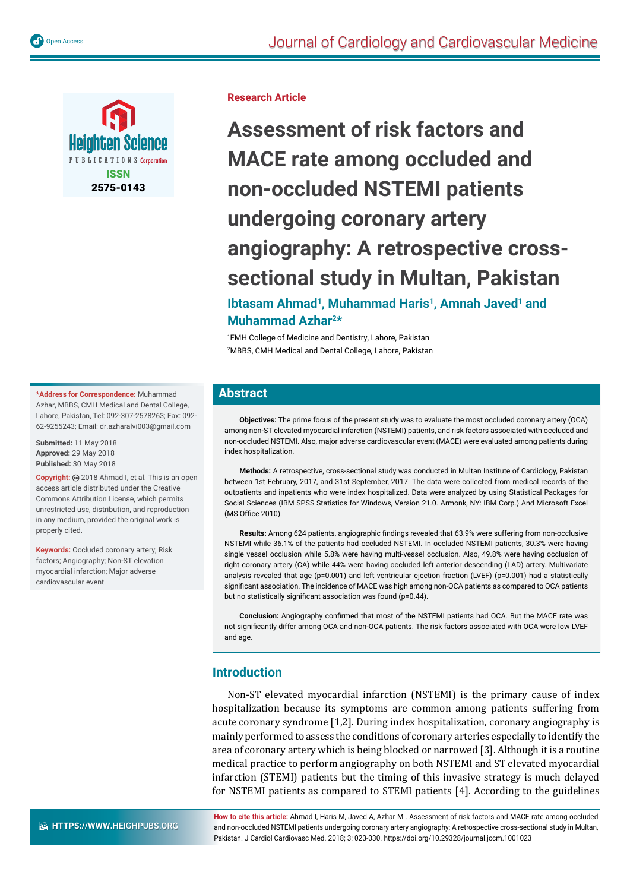

**Research Article**

**Assessment of risk factors and MACE rate among occluded and non-occluded NSTEMI patients undergoing coronary artery angiography: A retrospective crosssectional study in Multan, Pakistan Ibtasam Ahmad<sup>1</sup>, Muhammad Haris<sup>1</sup>, Amnah Javed<sup>1</sup> and** 

**Muhammad Azhar2\*** 

1 FMH College of Medicine and Dentistry, Lahore, Pakistan 2 MBBS, CMH Medical and Dental College, Lahore, Pakistan

#### **\*Address for Correspondence:** Muhammad Azhar, MBBS, CMH Medical and Dental College, Lahore, Pakistan, Tel: 092-307-2578263; Fax: 092- 62-9255243; Email: dr.azharalvi003@gmail.com

**Submitted:** 11 May 2018 **Approved:** 29 May 2018 **Published:** 30 May 2018

**Copyright:** 2018 Ahmad I, et al. This is an open access article distributed under the Creative Commons Attribution License, which permits unrestricted use, distribution, and reproduction in any medium, provided the original work is properly cited.

**Keywords:** Occluded coronary artery; Risk factors; Angiography; Non-ST elevation myocardial infarction; Major adverse cardiovascular event

## **Abstract**

**Objectives:** The prime focus of the present study was to evaluate the most occluded coronary artery (OCA) among non-ST elevated myocardial infarction (NSTEMI) patients, and risk factors associated with occluded and non-occluded NSTEMI. Also, major adverse cardiovascular event (MACE) were evaluated among patients during index hospitalization.

**Methods:** A retrospective, cross-sectional study was conducted in Multan Institute of Cardiology, Pakistan between 1st February, 2017, and 31st September, 2017. The data were collected from medical records of the outpatients and inpatients who were index hospitalized. Data were analyzed by using Statistical Packages for Social Sciences (IBM SPSS Statistics for Windows, Version 21.0. Armonk, NY: IBM Corp.) And Microsoft Excel (MS Office 2010).

Results: Among 624 patients, angiographic findings revealed that 63.9% were suffering from non-occlusive NSTEMI while 36.1% of the patients had occluded NSTEMI. In occluded NSTEMI patients, 30.3% were having single vessel occlusion while 5.8% were having multi-vessel occlusion. Also, 49.8% were having occlusion of right coronary artery (CA) while 44% were having occluded left anterior descending (LAD) artery. Multivariate analysis revealed that age (p=0.001) and left ventricular ejection fraction (LVEF) (p=0.001) had a statistically significant association. The incidence of MACE was high among non-OCA patients as compared to OCA patients but no statistically significant association was found ( $p=0.44$ ).

Conclusion: Angiography confirmed that most of the NSTEMI patients had OCA. But the MACE rate was not significantly differ among OCA and non-OCA patients. The risk factors associated with OCA were low LVEF and age.

## **Introduction**

Non-ST elevated myocardial infarction (NSTEMI) is the primary cause of index hospitalization because its symptoms are common among patients suffering from acute coronary syndrome [1,2]. During index hospitalization, coronary angiography is mainly performed to assess the conditions of coronary arteries especially to identify the area of coronary artery which is being blocked or narrowed [3]. Although it is a routine medical practice to perform angiography on both NSTEMI and ST elevated myocardial infarction (STEMI) patients but the timing of this invasive strategy is much delayed for NSTEMI patients as compared to STEMI patients [4]. According to the guidelines

**How to cite this article:** Ahmad I, Haris M, Javed A, Azhar M . Assessment of risk factors and MACE rate among occluded and non-occluded NSTEMI patients undergoing coronary artery angiography: A retrospective cross-sectional study in Multan, Pakistan. J Cardiol Cardiovasc Med. 2018; 3: 023-030. https://doi.org/10.29328/journal.jccm.1001023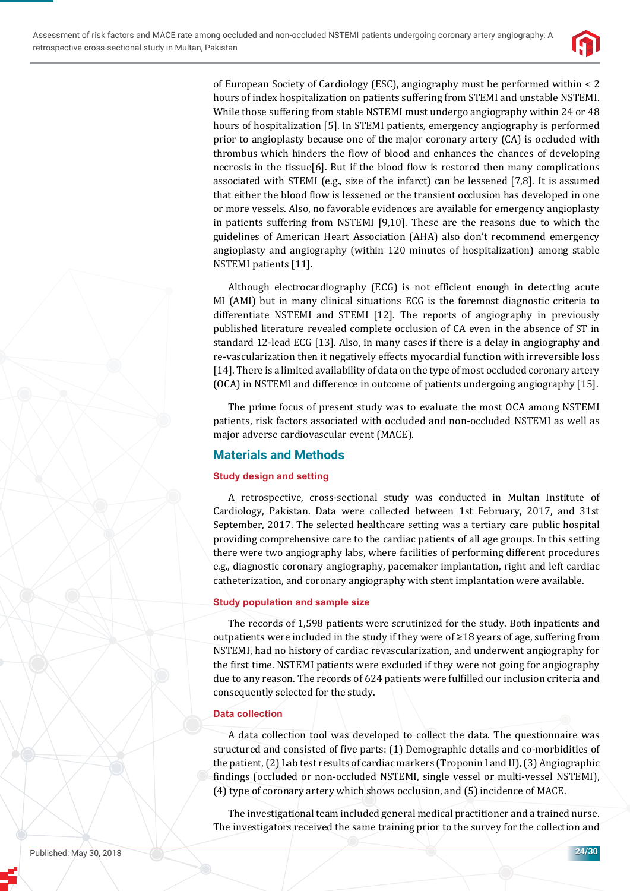

of European Society of Cardiology (ESC), angiography must be performed within < 2 hours of index hospitalization on patients suffering from STEMI and unstable NSTEMI. While those suffering from stable NSTEMI must undergo angiography within 24 or 48 hours of hospitalization [5]. In STEMI patients, emergency angiography is performed prior to angioplasty because one of the major coronary artery (CA) is occluded with thrombus which hinders the flow of blood and enhances the chances of developing necrosis in the tissue[6]. But if the blood flow is restored then many complications associated with STEMI (e.g., size of the infarct) can be lessened [7,8]. It is assumed that either the blood flow is lessened or the transient occlusion has developed in one or more vessels. Also, no favorable evidences are available for emergency angioplasty in patients suffering from NSTEMI [9,10]. These are the reasons due to which the guidelines of American Heart Association (AHA) also don't recommend emergency angioplasty and angiography (within 120 minutes of hospitalization) among stable NSTEMI patients [11].

Although electrocardiography (ECG) is not efficient enough in detecting acute MI (AMI) but in many clinical situations ECG is the foremost diagnostic criteria to differentiate NSTEMI and STEMI [12]. The reports of angiography in previously published literature revealed complete occlusion of CA even in the absence of ST in standard 12-lead ECG [13]. Also, in many cases if there is a delay in angiography and re-vascularization then it negatively effects myocardial function with irreversible loss [14]. There is a limited availability of data on the type of most occluded coronary artery (OCA) in NSTEMI and difference in outcome of patients undergoing angiography [15].

The prime focus of present study was to evaluate the most OCA among NSTEMI patients, risk factors associated with occluded and non-occluded NSTEMI as well as major adverse cardiovascular event (MACE).

# **Materials and Methods**

## **Study design and setting**

A retrospective, cross-sectional study was conducted in Multan Institute of Cardiology, Pakistan. Data were collected between 1st February, 2017, and 31st September, 2017. The selected healthcare setting was a tertiary care public hospital providing comprehensive care to the cardiac patients of all age groups. In this setting there were two angiography labs, where facilities of performing different procedures e.g., diagnostic coronary angiography, pacemaker implantation, right and left cardiac catheterization, and coronary angiography with stent implantation were available.

## **Study population and sample size**

The records of 1,598 patients were scrutinized for the study. Both inpatients and outpatients were included in the study if they were of ≥18 years of age, suffering from NSTEMI, had no history of cardiac revascularization, and underwent angiography for the ϐirst time. NSTEMI patients were excluded if they were not going for angiography due to any reason. The records of 624 patients were fulfilled our inclusion criteria and consequently selected for the study.

### **Data collection**

A data collection tool was developed to collect the data. The questionnaire was structured and consisted of five parts: (1) Demographic details and co-morbidities of the patient, (2) Lab test results of cardiac markers (Troponin I and II), (3) Angiographic findings (occluded or non-occluded NSTEMI, single vessel or multi-vessel NSTEMI), (4) type of coronary artery which shows occlusion, and (5) incidence of MACE.

The investigational team included general medical practitioner and a trained nurse. The investigators received the same training prior to the survey for the collection and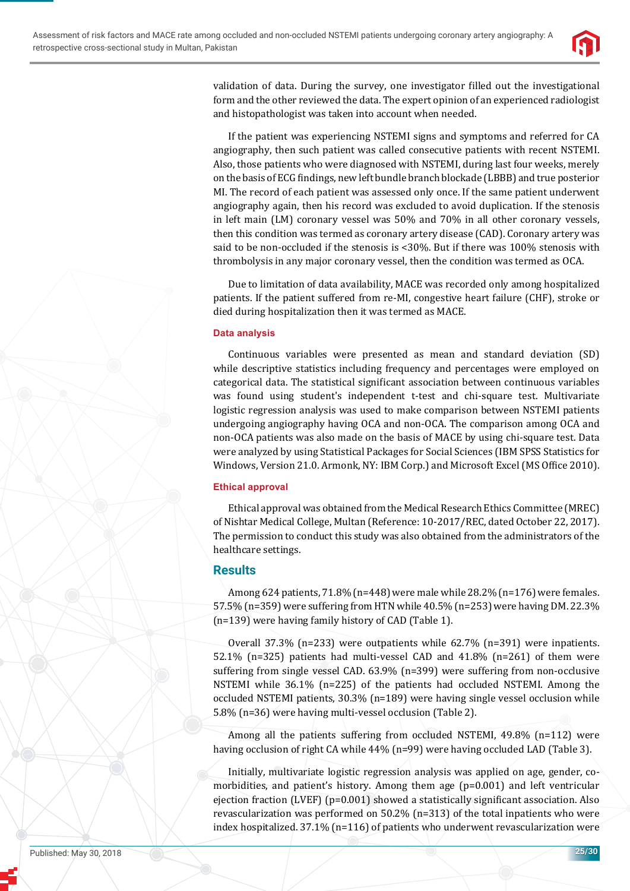

validation of data. During the survey, one investigator filled out the investigational form and the other reviewed the data. The expert opinion of an experienced radiologist and histopathologist was taken into account when needed.

If the patient was experiencing NSTEMI signs and symptoms and referred for CA angiography, then such patient was called consecutive patients with recent NSTEMI. Also, those patients who were diagnosed with NSTEMI, during last four weeks, merely on the basis of ECG findings, new left bundle branch blockade (LBBB) and true posterior MI. The record of each patient was assessed only once. If the same patient underwent angiography again, then his record was excluded to avoid duplication. If the stenosis in left main (LM) coronary vessel was 50% and 70% in all other coronary vessels, then this condition was termed as coronary artery disease (CAD). Coronary artery was said to be non-occluded if the stenosis is <30%. But if there was 100% stenosis with thrombolysis in any major coronary vessel, then the condition was termed as OCA.

Due to limitation of data availability, MACE was recorded only among hospitalized patients. If the patient suffered from re-MI, congestive heart failure (CHF), stroke or died during hospitalization then it was termed as MACE.

### **Data analysis**

Continuous variables were presented as mean and standard deviation (SD) while descriptive statistics including frequency and percentages were employed on categorical data. The statistical significant association between continuous variables was found using student's independent t-test and chi-square test. Multivariate logistic regression analysis was used to make comparison between NSTEMI patients undergoing angiography having OCA and non-OCA. The comparison among OCA and non-OCA patients was also made on the basis of MACE by using chi-square test. Data were analyzed by using Statistical Packages for Social Sciences (IBM SPSS Statistics for Windows, Version 21.0. Armonk, NY: IBM Corp.) and Microsoft Excel (MS Office 2010).

### **Ethical approval**

Ethical approval was obtained from the Medical Research Ethics Committee (MREC) of Nishtar Medical College, Multan (Reference: 10-2017/REC, dated October 22, 2017). The permission to conduct this study was also obtained from the administrators of the healthcare settings.

## **Results**

Among 624 patients, 71.8% (n=448) were male while 28.2% (n=176) were females. 57.5% (n=359) were suffering from HTN while 40.5% (n=253) were having DM. 22.3% (n=139) were having family history of CAD (Table 1).

Overall 37.3% (n=233) were outpatients while 62.7% (n=391) were inpatients. 52.1% (n=325) patients had multi-vessel CAD and 41.8% (n=261) of them were suffering from single vessel CAD. 63.9% (n=399) were suffering from non-occlusive NSTEMI while 36.1% (n=225) of the patients had occluded NSTEMI. Among the occluded NSTEMI patients, 30.3% (n=189) were having single vessel occlusion while 5.8% (n=36) were having multi-vessel occlusion (Table 2).

Among all the patients suffering from occluded NSTEMI, 49.8% (n=112) were having occlusion of right CA while 44% (n=99) were having occluded LAD (Table 3).

Initially, multivariate logistic regression analysis was applied on age, gender, comorbidities, and patient's history. Among them age (p=0.001) and left ventricular ejection fraction (LVEF) ( $p=0.001$ ) showed a statistically significant association. Also revascularization was performed on 50.2% (n=313) of the total inpatients who were index hospitalized. 37.1% (n=116) of patients who underwent revascularization were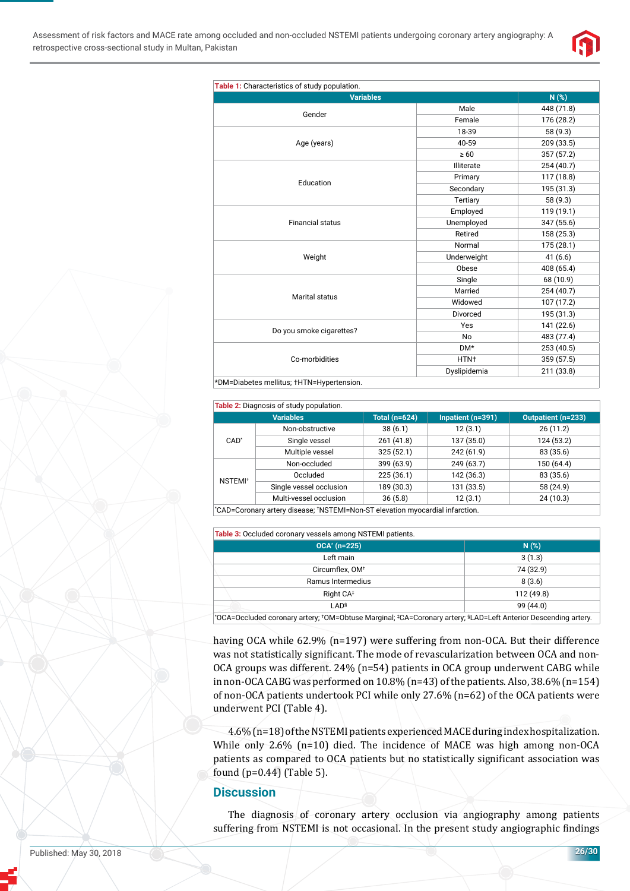

| <b>Variables</b>                  |                  | N(%)       |
|-----------------------------------|------------------|------------|
| Gender                            | Male             | 448 (71.8) |
|                                   | Female           | 176 (28.2) |
| Age (years)                       | 18-39            | 58 (9.3)   |
|                                   | 40-59            | 209 (33.5) |
|                                   | $\geq 60$        | 357 (57.2) |
|                                   | Illiterate       | 254 (40.7) |
|                                   | Primary          | 117 (18.8) |
| Education                         | Secondary        | 195 (31.3) |
|                                   | Tertiary         | 58 (9.3)   |
| <b>Financial status</b><br>Weight | Employed         | 119 (19.1) |
|                                   | Unemployed       | 347 (55.6) |
|                                   | Retired          | 158 (25.3) |
|                                   | Normal           | 175 (28.1) |
|                                   | Underweight      | 41(6.6)    |
|                                   | Obese            | 408 (65.4) |
|                                   | Single           | 68 (10.9)  |
| Marital status                    | Married          | 254 (40.7) |
|                                   | Widowed          | 107 (17.2) |
|                                   | Divorced         | 195 (31.3) |
|                                   | Yes              | 141 (22.6) |
| Do you smoke cigarettes?          | No               | 483 (77.4) |
| Co-morbidities                    | DM*              | 253 (40.5) |
|                                   | HTN <sup>+</sup> | 359 (57.5) |
|                                   | Dyslipidemia     | 211 (33.8) |

#### **Table 2:** Diagnosis of study population.

|                                                                               | <b>Variables</b>        | Total $(n=624)$ | Inpatient (n=391) | <b>Outpatient (n=233)</b> |  |
|-------------------------------------------------------------------------------|-------------------------|-----------------|-------------------|---------------------------|--|
| $CAD^*$                                                                       | Non-obstructive         | 38(6.1)         | 12(3.1)           | 26(11.2)                  |  |
|                                                                               | Single vessel           | 261(41.8)       | 137 (35.0)        | 124 (53.2)                |  |
|                                                                               | Multiple vessel         | 325(52.1)       | 242 (61.9)        | 83 (35.6)                 |  |
| NSTEMI <sup>+</sup>                                                           | Non-occluded            | 399 (63.9)      | 249 (63.7)        | 150(64.4)                 |  |
|                                                                               | Occluded                | 225(36.1)       | 142 (36.3)        | 83 (35.6)                 |  |
|                                                                               | Single vessel occlusion | 189 (30.3)      | 131 (33.5)        | 58 (24.9)                 |  |
|                                                                               | Multi-vessel occlusion  | 36(5.8)         | 12(3.1)           | 24(10.3)                  |  |
| *CAD=Coronary artery disease; *NSTEMI=Non-ST elevation myocardial infarction. |                         |                 |                   |                           |  |

**Table 3:** Occluded coronary vessels among NSTEMI patients.

| <b>Table of Socialists coloring recocid annong Horming Dationto.</b> |            |  |  |
|----------------------------------------------------------------------|------------|--|--|
| $OCA^*$ (n=225)                                                      | N(%)       |  |  |
| Left main                                                            | 3(1.3)     |  |  |
| Circumflex, OM <sup>+</sup>                                          | 74 (32.9)  |  |  |
| Ramus Intermedius                                                    | 8(3.6)     |  |  |
| Right $CA^{\ddagger}$                                                | 112 (49.8) |  |  |
| LAD <sup>§</sup>                                                     | 99 (44.0)  |  |  |
| .                                                                    |            |  |  |

\* OCA=Occluded coronary artery; † OM=Obtuse Marginal; ‡ CA=Coronary artery; §LAD=Left Anterior Descending artery.

having OCA while 62.9% (n=197) were suffering from non-OCA. But their difference was not statistically significant. The mode of revascularization between OCA and non-OCA groups was different. 24% (n=54) patients in OCA group underwent CABG while in non-OCA CABG was performed on 10.8% (n=43) of the patients. Also, 38.6% (n=154) of non-OCA patients undertook PCI while only 27.6% (n=62) of the OCA patients were underwent PCI (Table 4).

4.6% (n=18) of the NSTEMI patients experienced MACE during index hospitalization. While only 2.6% (n=10) died. The incidence of MACE was high among non-OCA patients as compared to OCA patients but no statistically significant association was found (p=0.44) (Table 5).

#### **Discussion**

The diagnosis of coronary artery occlusion via angiography among patients suffering from NSTEMI is not occasional. In the present study angiographic findings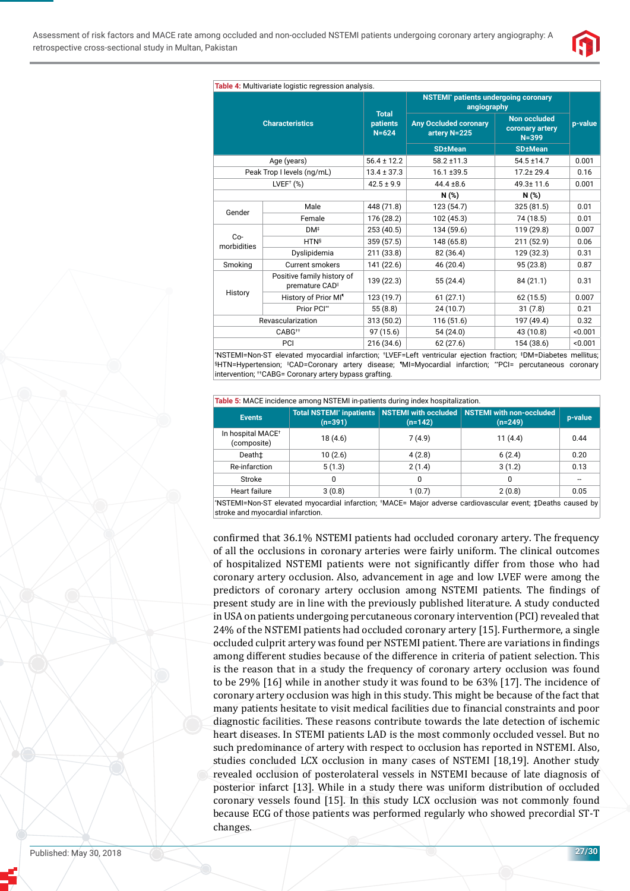

| <b>NSTEMI</b> * patients undergoing coronary<br>angiography<br><b>Total</b><br>Non occluded<br><b>Characteristics</b><br><b>Any Occluded coronary</b><br>patients<br>p-value<br>coronary artery<br>$N = 624$<br>artery N=225<br>$N = 399$<br><b>SD±Mean</b><br><b>SD</b> +Mean<br>$56.4 \pm 12.2$<br>Age (years)<br>$58.2 \pm 11.3$<br>$54.5 \pm 14.7$<br>0.001<br>Peak Trop I levels (ng/mL)<br>$13.4 \pm 37.3$<br>16.1 ±39.5<br>$17.2 \pm 29.4$<br>0.16<br>$LVEF+$ (%)<br>$42.5 \pm 9.9$<br>$44.4 \pm 8.6$<br>49.3±11.6<br>0.001<br>N(%)<br>N(%)<br>448 (71.8)<br>123 (54.7)<br>325 (81.5)<br>0.01<br>Male<br>Gender<br>Female<br>176 (28.2)<br>102 (45.3)<br>74 (18.5)<br>0.01<br>253 (40.5)<br>134 (59.6)<br>119 (29.8)<br>DM <sup>‡</sup><br>0.007<br>$Co-$<br>359 (57.5)<br>148 (65.8)<br>211 (52.9)<br><b>HTN</b> <sup>§</sup><br>0.06<br>morbidities<br>211 (33.8)<br>Dyslipidemia<br>82 (36.4)<br>129 (32.3)<br>0.31<br>141 (22.6)<br>95 (23.8)<br>Smoking<br><b>Current smokers</b><br>46 (20.4)<br>0.87 | Table 4: Multivariate logistic regression analysis. |                            |  |  |  |  |
|--------------------------------------------------------------------------------------------------------------------------------------------------------------------------------------------------------------------------------------------------------------------------------------------------------------------------------------------------------------------------------------------------------------------------------------------------------------------------------------------------------------------------------------------------------------------------------------------------------------------------------------------------------------------------------------------------------------------------------------------------------------------------------------------------------------------------------------------------------------------------------------------------------------------------------------------------------------------------------------------------------------------|-----------------------------------------------------|----------------------------|--|--|--|--|
|                                                                                                                                                                                                                                                                                                                                                                                                                                                                                                                                                                                                                                                                                                                                                                                                                                                                                                                                                                                                                    |                                                     |                            |  |  |  |  |
|                                                                                                                                                                                                                                                                                                                                                                                                                                                                                                                                                                                                                                                                                                                                                                                                                                                                                                                                                                                                                    |                                                     |                            |  |  |  |  |
|                                                                                                                                                                                                                                                                                                                                                                                                                                                                                                                                                                                                                                                                                                                                                                                                                                                                                                                                                                                                                    |                                                     |                            |  |  |  |  |
|                                                                                                                                                                                                                                                                                                                                                                                                                                                                                                                                                                                                                                                                                                                                                                                                                                                                                                                                                                                                                    |                                                     |                            |  |  |  |  |
|                                                                                                                                                                                                                                                                                                                                                                                                                                                                                                                                                                                                                                                                                                                                                                                                                                                                                                                                                                                                                    |                                                     |                            |  |  |  |  |
|                                                                                                                                                                                                                                                                                                                                                                                                                                                                                                                                                                                                                                                                                                                                                                                                                                                                                                                                                                                                                    |                                                     |                            |  |  |  |  |
|                                                                                                                                                                                                                                                                                                                                                                                                                                                                                                                                                                                                                                                                                                                                                                                                                                                                                                                                                                                                                    |                                                     |                            |  |  |  |  |
|                                                                                                                                                                                                                                                                                                                                                                                                                                                                                                                                                                                                                                                                                                                                                                                                                                                                                                                                                                                                                    |                                                     |                            |  |  |  |  |
|                                                                                                                                                                                                                                                                                                                                                                                                                                                                                                                                                                                                                                                                                                                                                                                                                                                                                                                                                                                                                    |                                                     |                            |  |  |  |  |
|                                                                                                                                                                                                                                                                                                                                                                                                                                                                                                                                                                                                                                                                                                                                                                                                                                                                                                                                                                                                                    |                                                     |                            |  |  |  |  |
|                                                                                                                                                                                                                                                                                                                                                                                                                                                                                                                                                                                                                                                                                                                                                                                                                                                                                                                                                                                                                    |                                                     |                            |  |  |  |  |
|                                                                                                                                                                                                                                                                                                                                                                                                                                                                                                                                                                                                                                                                                                                                                                                                                                                                                                                                                                                                                    |                                                     |                            |  |  |  |  |
|                                                                                                                                                                                                                                                                                                                                                                                                                                                                                                                                                                                                                                                                                                                                                                                                                                                                                                                                                                                                                    |                                                     |                            |  |  |  |  |
| 139 (22.3)<br>55 (24.4)<br>84 (21.1)<br>0.31<br>premature CAD <sup>II</sup>                                                                                                                                                                                                                                                                                                                                                                                                                                                                                                                                                                                                                                                                                                                                                                                                                                                                                                                                        | History                                             | Positive family history of |  |  |  |  |
| History of Prior MI <sup>®</sup><br>123 (19.7)<br>61(27.1)<br>62(15.5)<br>0.007                                                                                                                                                                                                                                                                                                                                                                                                                                                                                                                                                                                                                                                                                                                                                                                                                                                                                                                                    |                                                     |                            |  |  |  |  |
| Prior PCI**<br>55(8.8)<br>24(10.7)<br>31(7.8)<br>0.21                                                                                                                                                                                                                                                                                                                                                                                                                                                                                                                                                                                                                                                                                                                                                                                                                                                                                                                                                              |                                                     |                            |  |  |  |  |
| 116(51.6)<br>197 (49.4)<br>313 (50.2)<br>0.32<br>Revascularization                                                                                                                                                                                                                                                                                                                                                                                                                                                                                                                                                                                                                                                                                                                                                                                                                                                                                                                                                 |                                                     |                            |  |  |  |  |
| $CABG++$<br>97(15.6)<br>54(24.0)<br>43 (10.8)<br>< 0.001                                                                                                                                                                                                                                                                                                                                                                                                                                                                                                                                                                                                                                                                                                                                                                                                                                                                                                                                                           |                                                     |                            |  |  |  |  |
| 216 (34.6)<br>154 (38.6)<br>62(27.6)<br>PCI<br>< 0.001                                                                                                                                                                                                                                                                                                                                                                                                                                                                                                                                                                                                                                                                                                                                                                                                                                                                                                                                                             |                                                     |                            |  |  |  |  |

\* NSTEMI=Non-ST elevated myocardial infarction; † LVEF=Left ventricular ejection fraction; ‡ DM=Diabetes mellitus; §HTN=Hypertension; ||CAD=Coronary artery disease; ¶ MI=Myocardial infarction; \*\*PCI= percutaneous coronary intervention; <sup>††</sup>CABG= Coronary artery bypass grafting.

| Table 5: MACE incidence among NSTEMI in-patients during index hospitalization.                             |         |           |                                                                                         |         |  |
|------------------------------------------------------------------------------------------------------------|---------|-----------|-----------------------------------------------------------------------------------------|---------|--|
| <b>Events</b>                                                                                              | (n=391) | $(n=142)$ | Total NSTEMI* inpatients   NSTEMI with occluded   NSTEMI with non-occluded<br>$(n=249)$ | p-value |  |
| In hospital MACE <sup>+</sup><br>(composite)                                                               | 18(4.6) | 7(4.9)    | 11(4.4)                                                                                 | 0.44    |  |
| Death±                                                                                                     | 10(2.6) | 4(2.8)    | 6(2.4)                                                                                  | 0.20    |  |
| Re-infarction                                                                                              | 5(1.3)  | 2(1.4)    | 3(1.2)                                                                                  | 0.13    |  |
| Stroke                                                                                                     | 0       | 0         | 0                                                                                       |         |  |
| <b>Heart failure</b>                                                                                       | 3(0.8)  | 1(0.7)    | 2(0.8)                                                                                  | 0.05    |  |
| NSTEML=Non-ST elevated myocardial infarction: †MACE= Major adverse cardiovascular event: †Deaths caused by |         |           |                                                                                         |         |  |

\* NSTEMI=Non-ST elevated myocardial infarction; † MACE= Major adverse cardiovascular event; ‡Deaths caused by stroke and myocardial infarction.

confirmed that 36.1% NSTEMI patients had occluded coronary artery. The frequency of all the occlusions in coronary arteries were fairly uniform. The clinical outcomes of hospitalized NSTEMI patients were not significantly differ from those who had coronary artery occlusion. Also, advancement in age and low LVEF were among the predictors of coronary artery occlusion among NSTEMI patients. The findings of present study are in line with the previously published literature. A study conducted in USA on patients undergoing percutaneous coronary intervention (PCI) revealed that 24% of the NSTEMI patients had occluded coronary artery [15]. Furthermore, a single occluded culprit artery was found per NSTEMI patient. There are variations in findings among different studies because of the difference in criteria of patient selection. This is the reason that in a study the frequency of coronary artery occlusion was found to be 29% [16] while in another study it was found to be 63% [17]. The incidence of coronary artery occlusion was high in this study. This might be because of the fact that many patients hesitate to visit medical facilities due to financial constraints and poor diagnostic facilities. These reasons contribute towards the late detection of ischemic heart diseases. In STEMI patients LAD is the most commonly occluded vessel. But no such predominance of artery with respect to occlusion has reported in NSTEMI. Also, studies concluded LCX occlusion in many cases of NSTEMI [18,19]. Another study revealed occlusion of posterolateral vessels in NSTEMI because of late diagnosis of posterior infarct [13]. While in a study there was uniform distribution of occluded coronary vessels found [15]. In this study LCX occlusion was not commonly found because ECG of those patients was performed regularly who showed precordial ST-T changes.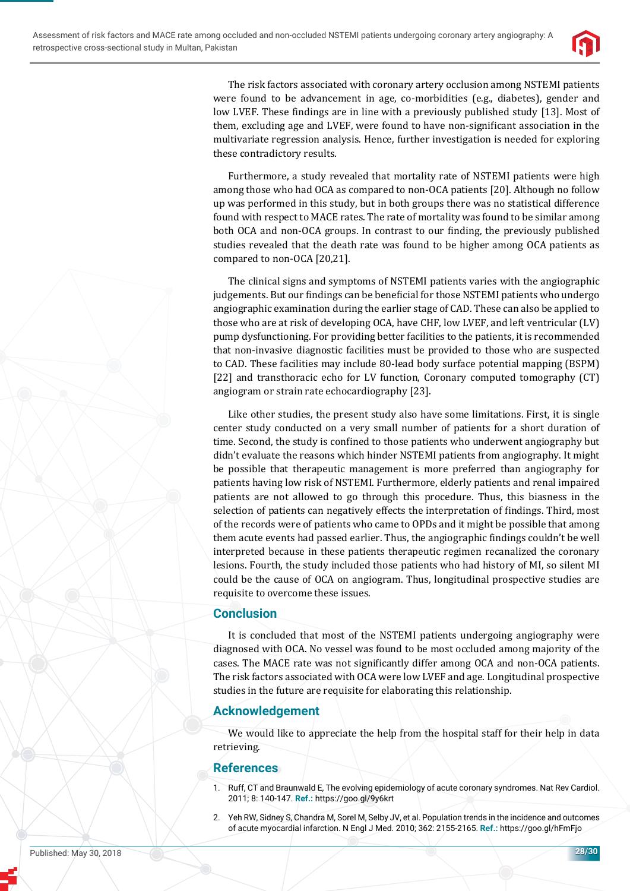

The risk factors associated with coronary artery occlusion among NSTEMI patients were found to be advancement in age, co-morbidities (e.g., diabetes), gender and low LVEF. These findings are in line with a previously published study [13]. Most of them, excluding age and LVEF, were found to have non-significant association in the multivariate regression analysis. Hence, further investigation is needed for exploring these contradictory results.

Furthermore, a study revealed that mortality rate of NSTEMI patients were high among those who had OCA as compared to non-OCA patients [20]. Although no follow up was performed in this study, but in both groups there was no statistical difference found with respect to MACE rates. The rate of mortality was found to be similar among both OCA and non-OCA groups. In contrast to our finding, the previously published studies revealed that the death rate was found to be higher among OCA patients as compared to non-OCA [20,21].

The clinical signs and symptoms of NSTEMI patients varies with the angiographic judgements. But our findings can be beneficial for those NSTEMI patients who undergo angiographic examination during the earlier stage of CAD. These can also be applied to those who are at risk of developing OCA, have CHF, low LVEF, and left ventricular (LV) pump dysfunctioning. For providing better facilities to the patients, it is recommended that non-invasive diagnostic facilities must be provided to those who are suspected to CAD. These facilities may include 80-lead body surface potential mapping (BSPM) [22] and transthoracic echo for LV function, Coronary computed tomography (CT) angiogram or strain rate echocardiography [23].

Like other studies, the present study also have some limitations. First, it is single center study conducted on a very small number of patients for a short duration of time. Second, the study is confined to those patients who underwent angiography but didn't evaluate the reasons which hinder NSTEMI patients from angiography. It might be possible that therapeutic management is more preferred than angiography for patients having low risk of NSTEMI. Furthermore, elderly patients and renal impaired patients are not allowed to go through this procedure. Thus, this biasness in the selection of patients can negatively effects the interpretation of findings. Third, most of the records were of patients who came to OPDs and it might be possible that among them acute events had passed earlier. Thus, the angiographic findings couldn't be well interpreted because in these patients therapeutic regimen recanalized the coronary lesions. Fourth, the study included those patients who had history of MI, so silent MI could be the cause of OCA on angiogram. Thus, longitudinal prospective studies are requisite to overcome these issues.

## **Conclusion**

It is concluded that most of the NSTEMI patients undergoing angiography were diagnosed with OCA. No vessel was found to be most occluded among majority of the cases. The MACE rate was not significantly differ among OCA and non-OCA patients. The risk factors associated with OCA were low LVEF and age. Longitudinal prospective studies in the future are requisite for elaborating this relationship.

# **Acknowledgement**

We would like to appreciate the help from the hospital staff for their help in data retrieving.

# **References**

- 1. Ruff, CT and Braunwald E, The evolving epidemiology of acute coronary syndromes. Nat Rev Cardiol. 2011; 8: 140-147. **Ref.:** https://goo.gl/9y6krt
- Yeh RW, Sidney S, Chandra M, Sorel M, Selby JV, et al. Population trends in the incidence and outcomes of acute myocardial infarction. N Engl J Med. 2010; 362: 2155-2165. **Ref.:** https://goo.gl/hFmFjo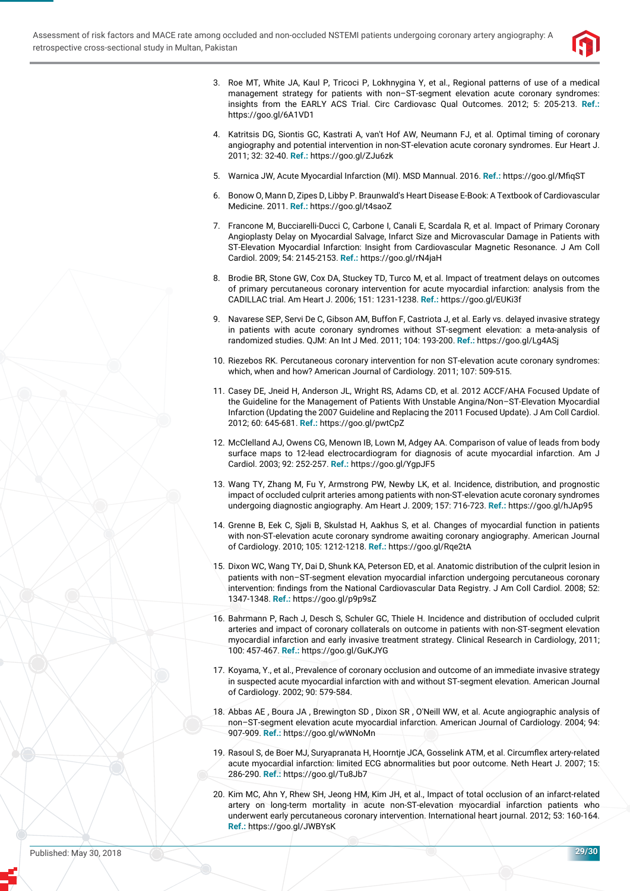

- 3. Roe MT, White JA, Kaul P, Tricoci P, Lokhnygina Y, et al., Regional patterns of use of a medical management strategy for patients with non–ST-segment elevation acute coronary syndromes: insights from the EARLY ACS Trial. Circ Cardiovasc Qual Outcomes. 2012; 5: 205-213. **Ref.:** https://goo.gl/6A1VD1
- 4. Katritsis DG, Siontis GC, Kastrati A, van't Hof AW, Neumann FJ, et al. Optimal timing of coronary angiography and potential intervention in non-ST-elevation acute coronary syndromes. Eur Heart J. 2011; 32: 32-40. **Ref.:** https://goo.gl/ZJu6zk
- 5. Warnica JW, Acute Myocardial Infarction (MI), MSD Mannual, 2016. **Ref.:** https://goo.gl/MfigST
- 6. Bonow O, Mann D, Zipes D, Libby P. Braunwald's Heart Disease E-Book: A Textbook of Cardiovascular Medicine. 2011. **Ref.:** https://goo.gl/t4saoZ
- 7. Francone M, Bucciarelli-Ducci C, Carbone I, Canali E, Scardala R, et al. Impact of Primary Coronary Angioplasty Delay on Myocardial Salvage, Infarct Size and Microvascular Damage in Patients with ST-Elevation Myocardial Infarction: Insight from Cardiovascular Magnetic Resonance. J Am Coll Cardiol. 2009; 54: 2145-2153. **Ref.:** https://goo.gl/rN4jaH
- 8. Brodie BR, Stone GW, Cox DA, Stuckey TD, Turco M, et al. Impact of treatment delays on outcomes of primary percutaneous coronary intervention for acute myocardial infarction: analysis from the CADILLAC trial. Am Heart J. 2006; 151: 1231-1238. **Ref.:** https://goo.gl/EUKi3f
- 9. Navarese SEP, Servi De C, Gibson AM, Buffon F, Castriota J, et al. Early vs. delayed invasive strategy in patients with acute coronary syndromes without ST-segment elevation: a meta-analysis of randomized studies. QJM: An Int J Med. 2011; 104: 193-200. **Ref.:** https://goo.gl/Lg4ASj
- 10. Riezebos RK. Percutaneous coronary intervention for non ST-elevation acute coronary syndromes: which, when and how? American Journal of Cardiology. 2011; 107: 509-515.
- 11. Casey DE, Jneid H, Anderson JL, Wright RS, Adams CD, et al. 2012 ACCF/AHA Focused Update of the Guideline for the Management of Patients With Unstable Angina/Non–ST-Elevation Myocardial Infarction (Updating the 2007 Guideline and Replacing the 2011 Focused Update). J Am Coll Cardiol. 2012; 60: 645-681. **Ref.:** https://goo.gl/pwtCpZ
- 12. McClelland AJ, Owens CG, Menown IB, Lown M, Adgey AA. Comparison of value of leads from body surface maps to 12-lead electrocardiogram for diagnosis of acute myocardial infarction. Am J Cardiol. 2003; 92: 252-257. **Ref.:** https://goo.gl/YgpJF5
- 13. Wang TY, Zhang M, Fu Y, Armstrong PW, Newby LK, et al. Incidence, distribution, and prognostic impact of occluded culprit arteries among patients with non-ST-elevation acute coronary syndromes undergoing diagnostic angiography. Am Heart J. 2009; 157: 716-723. **Ref.:** https://goo.gl/hJAp95
- 14. Grenne B, Eek C, Sjøli B, Skulstad H, Aakhus S, et al. Changes of myocardial function in patients with non-ST-elevation acute coronary syndrome awaiting coronary angiography. American Journal of Cardiology. 2010; 105: 1212-1218. **Ref.:** https://goo.gl/Rqe2tA
- 15. Dixon WC, Wang TY, Dai D, Shunk KA, Peterson ED, et al. Anatomic distribution of the culprit lesion in patients with non–ST-segment elevation myocardial infarction undergoing percutaneous coronary intervention: findings from the National Cardiovascular Data Registry. J Am Coll Cardiol. 2008; 52: 1347-1348. **Ref.:** https://goo.gl/p9p9sZ
- 16. Bahrmann P, Rach J, Desch S, Schuler GC, Thiele H. Incidence and distribution of occluded culprit arteries and impact of coronary collaterals on outcome in patients with non-ST-segment elevation myocardial infarction and early invasive treatment strategy. Clinical Research in Cardiology, 2011; 100: 457-467. **Ref.:** https://goo.gl/GuKJYG
- 17. Koyama, Y., et al., Prevalence of coronary occlusion and outcome of an immediate invasive strategy in suspected acute myocardial infarction with and without ST-segment elevation. American Journal of Cardiology. 2002; 90: 579-584.
- 18. Abbas AE , Boura JA , Brewington SD , Dixon SR , O'Neill WW, et al. Acute angiographic analysis of non–ST-segment elevation acute myocardial infarction. American Journal of Cardiology. 2004; 94: 907-909. **Ref.:** https://goo.gl/wWNoMn
- 19. Rasoul S, de Boer MJ, Suryapranata H, Hoorntje JCA, Gosselink ATM, et al. Circumflex artery-related acute myocardial infarction: limited ECG abnormalities but poor outcome. Neth Heart J. 2007; 15: 286-290. **Ref.:** https://goo.gl/Tu8Jb7
- 20. Kim MC, Ahn Y, Rhew SH, Jeong HM, Kim JH, et al., Impact of total occlusion of an infarct-related artery on long-term mortality in acute non-ST-elevation myocardial infarction patients who underwent early percutaneous coronary intervention. International heart journal. 2012; 53: 160-164. **Ref.:** https://goo.gl/JWBYsK